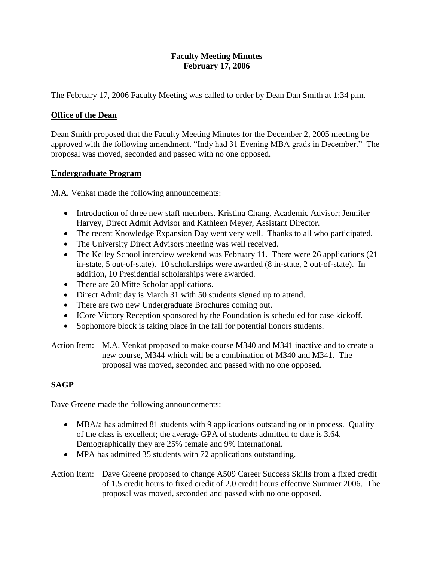#### **Faculty Meeting Minutes February 17, 2006**

The February 17, 2006 Faculty Meeting was called to order by Dean Dan Smith at 1:34 p.m.

## **Office of the Dean**

Dean Smith proposed that the Faculty Meeting Minutes for the December 2, 2005 meeting be approved with the following amendment. "Indy had 31 Evening MBA grads in December." The proposal was moved, seconded and passed with no one opposed.

## **Undergraduate Program**

M.A. Venkat made the following announcements:

- Introduction of three new staff members. Kristina Chang, Academic Advisor; Jennifer Harvey, Direct Admit Advisor and Kathleen Meyer, Assistant Director.
- The recent Knowledge Expansion Day went very well. Thanks to all who participated.
- The University Direct Advisors meeting was well received.
- The Kelley School interview weekend was February 11. There were 26 applications (21) in-state, 5 out-of-state). 10 scholarships were awarded (8 in-state, 2 out-of-state). In addition, 10 Presidential scholarships were awarded.
- There are 20 Mitte Scholar applications.
- Direct Admit day is March 31 with 50 students signed up to attend.
- There are two new Undergraduate Brochures coming out.
- ICore Victory Reception sponsored by the Foundation is scheduled for case kickoff.
- Sophomore block is taking place in the fall for potential honors students.

Action Item: M.A. Venkat proposed to make course M340 and M341 inactive and to create a new course, M344 which will be a combination of M340 and M341. The proposal was moved, seconded and passed with no one opposed.

# **SAGP**

Dave Greene made the following announcements:

- MBA/a has admitted 81 students with 9 applications outstanding or in process. Quality of the class is excellent; the average GPA of students admitted to date is 3.64. Demographically they are 25% female and 9% international.
- MPA has admitted 35 students with 72 applications outstanding.

Action Item: Dave Greene proposed to change A509 Career Success Skills from a fixed credit of 1.5 credit hours to fixed credit of 2.0 credit hours effective Summer 2006. The proposal was moved, seconded and passed with no one opposed.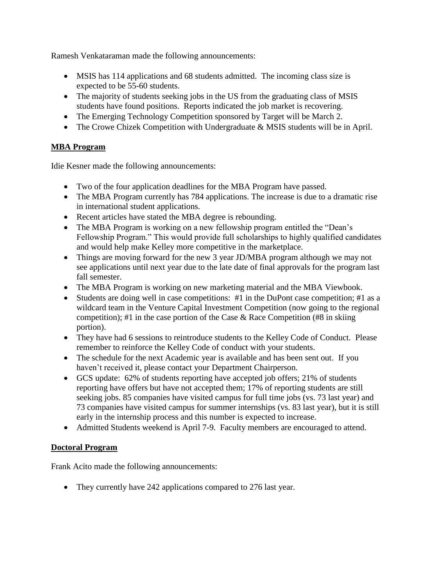Ramesh Venkataraman made the following announcements:

- MSIS has 114 applications and 68 students admitted. The incoming class size is expected to be 55-60 students.
- The majority of students seeking jobs in the US from the graduating class of MSIS students have found positions. Reports indicated the job market is recovering.
- The Emerging Technology Competition sponsored by Target will be March 2.
- The Crowe Chizek Competition with Undergraduate & MSIS students will be in April.

## **MBA Program**

Idie Kesner made the following announcements:

- Two of the four application deadlines for the MBA Program have passed.
- The MBA Program currently has 784 applications. The increase is due to a dramatic rise in international student applications.
- Recent articles have stated the MBA degree is rebounding.
- The MBA Program is working on a new fellowship program entitled the "Dean's Fellowship Program." This would provide full scholarships to highly qualified candidates and would help make Kelley more competitive in the marketplace.
- Things are moving forward for the new 3 year JD/MBA program although we may not see applications until next year due to the late date of final approvals for the program last fall semester.
- The MBA Program is working on new marketing material and the MBA Viewbook.
- Students are doing well in case competitions: #1 in the DuPont case competition; #1 as a wildcard team in the Venture Capital Investment Competition (now going to the regional competition); #1 in the case portion of the Case  $\&$  Race Competition (#8 in skiing portion).
- They have had 6 sessions to reintroduce students to the Kelley Code of Conduct. Please remember to reinforce the Kelley Code of conduct with your students.
- The schedule for the next Academic year is available and has been sent out. If you haven't received it, please contact your Department Chairperson.
- GCS update: 62% of students reporting have accepted job offers; 21% of students reporting have offers but have not accepted them; 17% of reporting students are still seeking jobs. 85 companies have visited campus for full time jobs (vs. 73 last year) and 73 companies have visited campus for summer internships (vs. 83 last year), but it is still early in the internship process and this number is expected to increase.
- Admitted Students weekend is April 7-9. Faculty members are encouraged to attend.

## **Doctoral Program**

Frank Acito made the following announcements:

• They currently have 242 applications compared to 276 last year.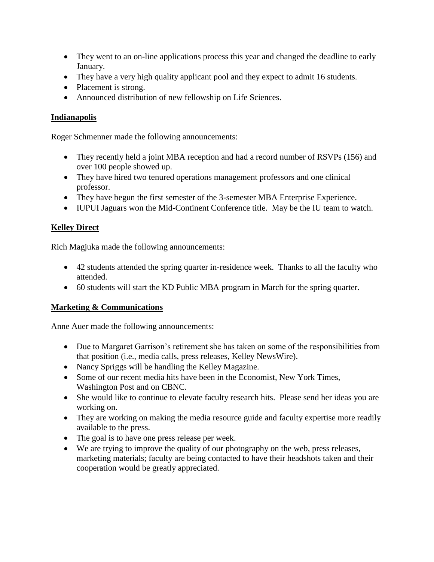- They went to an on-line applications process this year and changed the deadline to early January.
- They have a very high quality applicant pool and they expect to admit 16 students.
- Placement is strong.
- Announced distribution of new fellowship on Life Sciences.

### **Indianapolis**

Roger Schmenner made the following announcements:

- They recently held a joint MBA reception and had a record number of RSVPs (156) and over 100 people showed up.
- They have hired two tenured operations management professors and one clinical professor.
- They have begun the first semester of the 3-semester MBA Enterprise Experience.
- IUPUI Jaguars won the Mid-Continent Conference title. May be the IU team to watch.

## **Kelley Direct**

Rich Magjuka made the following announcements:

- 42 students attended the spring quarter in-residence week. Thanks to all the faculty who attended.
- 60 students will start the KD Public MBA program in March for the spring quarter.

#### **Marketing & Communications**

Anne Auer made the following announcements:

- Due to Margaret Garrison's retirement she has taken on some of the responsibilities from that position (i.e., media calls, press releases, Kelley NewsWire).
- Nancy Spriggs will be handling the Kelley Magazine.
- Some of our recent media hits have been in the Economist, New York Times, Washington Post and on CBNC.
- She would like to continue to elevate faculty research hits. Please send her ideas you are working on.
- They are working on making the media resource guide and faculty expertise more readily available to the press.
- The goal is to have one press release per week.
- We are trying to improve the quality of our photography on the web, press releases, marketing materials; faculty are being contacted to have their headshots taken and their cooperation would be greatly appreciated.